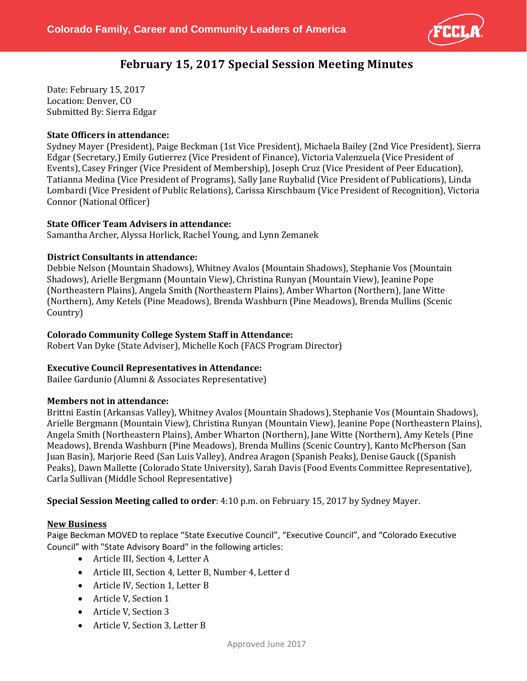

# **February 15, 2017 Special Session Meeting Minutes**

Date: February 15, 2017 Location: Denver, CO Submitted By: Sierra Edgar

## **State Officers in attendance:**

Sydney Mayer (President), Paige Beckman (1st Vice President), Michaela Bailey (2nd Vice President), Sierra Edgar (Secretary,) Emily Gutierrez (Vice President of Finance), Victoria Valenzuela (Vice President of Events), Casey Fringer (Vice President of Membership), Joseph Cruz (Vice President of Peer Education), Tatianna Medina (Vice President of Programs), Sally Jane Ruybalid (Vice President of Publications), Linda Lombardi (Vice President of Public Relations), Carissa Kirschbaum (Vice President of Recognition), Victoria Connor (National Officer)

## **State Officer Team Advisers in attendance:**

Samantha Archer, Alyssa Horlick, Rachel Young, and Lynn Zemanek

## **District Consultants in attendance:**

Debbie Nelson (Mountain Shadows), Whitney Avalos (Mountain Shadows), Stephanie Vos (Mountain Shadows), Arielle Bergmann (Mountain View), Christina Runyan (Mountain View), Jeanine Pope (Northeastern Plains), Angela Smith (Northeastern Plains), Amber Wharton (Northern), Jane Witte (Northern), Amy Ketels (Pine Meadows), Brenda Washburn (Pine Meadows), Brenda Mullins (Scenic Country)

## **Colorado Community College System Staff in Attendance:**

Robert Van Dyke (State Adviser), Michelle Koch (FACS Program Director)

## **Executive Council Representatives in Attendance:**

Bailee Gardunio (Alumni & Associates Representative)

#### **Members not in attendance:**

Brittni Eastin (Arkansas Valley), Whitney Avalos (Mountain Shadows), Stephanie Vos (Mountain Shadows), Arielle Bergmann (Mountain View), Christina Runyan (Mountain View), Jeanine Pope (Northeastern Plains), Angela Smith (Northeastern Plains), Amber Wharton (Northern), Jane Witte (Northern), Amy Ketels (Pine Meadows), Brenda Washburn (Pine Meadows), Brenda Mullins (Scenic Country), Kanto McPherson (San Juan Basin), Marjorie Reed (San Luis Valley), Andrea Aragon (Spanish Peaks), Denise Gauck ((Spanish Peaks), Dawn Mallette (Colorado State University), Sarah Davis (Food Events Committee Representative), Carla Sullivan (Middle School Representative)

**Special Session Meeting called to order**: 4:10 p.m. on February 15, 2017 by Sydney Mayer.

#### **New Business**

Paige Beckman MOVED to replace "State Executive Council", "Executive Council", and "Colorado Executive Council" with "State Advisory Board" in the following articles:

- Article III, Section 4, Letter A
- Article III, Section 4, Letter B, Number 4, Letter d
- Article IV, Section 1, Letter B
- Article V, Section 1
- Article V, Section 3
- Article V, Section 3, Letter B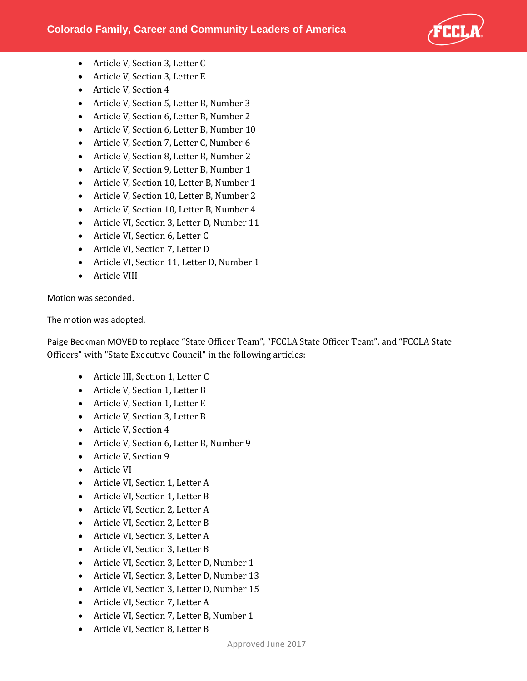

- Article V, Section 3, Letter C
- Article V, Section 3, Letter E
- Article V, Section 4
- Article V, Section 5, Letter B, Number 3
- Article V, Section 6, Letter B, Number 2
- Article V, Section 6, Letter B, Number 10
- Article V, Section 7, Letter C, Number 6
- Article V, Section 8, Letter B, Number 2
- Article V, Section 9, Letter B, Number 1
- Article V, Section 10, Letter B, Number 1
- Article V, Section 10, Letter B, Number 2
- Article V, Section 10, Letter B, Number 4
- Article VI, Section 3, Letter D, Number 11
- Article VI, Section 6, Letter C
- Article VI, Section 7, Letter D
- Article VI, Section 11, Letter D, Number 1
- Article VIII

Motion was seconded.

The motion was adopted.

Paige Beckman MOVED to replace "State Officer Team", "FCCLA State Officer Team", and "FCCLA State Officers" with "State Executive Council" in the following articles:

- Article III, Section 1, Letter C
- Article V, Section 1, Letter B
- Article V, Section 1, Letter E
- Article V, Section 3, Letter B
- Article V, Section 4
- Article V, Section 6, Letter B, Number 9
- Article V, Section 9
- Article VI
- Article VI, Section 1, Letter A
- Article VI, Section 1, Letter B
- Article VI, Section 2, Letter A
- Article VI, Section 2, Letter B
- Article VI, Section 3, Letter A
- Article VI, Section 3, Letter B
- Article VI, Section 3, Letter D, Number 1
- Article VI, Section 3, Letter D, Number 13
- Article VI, Section 3, Letter D, Number 15
- Article VI, Section 7, Letter A
- Article VI, Section 7, Letter B, Number 1
- Article VI, Section 8, Letter B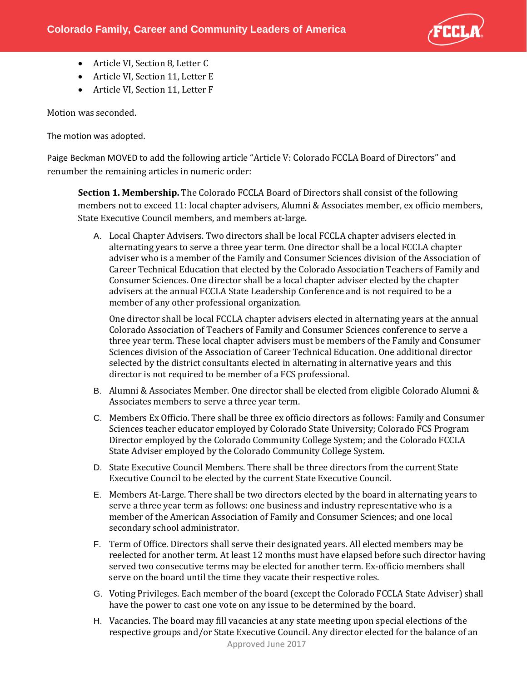

- Article VI, Section 8, Letter C
- Article VI, Section 11, Letter E
- Article VI, Section 11, Letter F

Motion was seconded.

The motion was adopted.

Paige Beckman MOVED to add the following article "Article V: Colorado FCCLA Board of Directors" and renumber the remaining articles in numeric order:

**Section 1. Membership.** The Colorado FCCLA Board of Directors shall consist of the following members not to exceed 11: local chapter advisers, Alumni & Associates member, ex officio members, State Executive Council members, and members at-large.

A. Local Chapter Advisers. Two directors shall be local FCCLA chapter advisers elected in alternating years to serve a three year term. One director shall be a local FCCLA chapter adviser who is a member of the Family and Consumer Sciences division of the Association of Career Technical Education that elected by the Colorado Association Teachers of Family and Consumer Sciences. One director shall be a local chapter adviser elected by the chapter advisers at the annual FCCLA State Leadership Conference and is not required to be a member of any other professional organization.

One director shall be local FCCLA chapter advisers elected in alternating years at the annual Colorado Association of Teachers of Family and Consumer Sciences conference to serve a three year term. These local chapter advisers must be members of the Family and Consumer Sciences division of the Association of Career Technical Education. One additional director selected by the district consultants elected in alternating in alternative years and this director is not required to be member of a FCS professional.

- B. Alumni & Associates Member. One director shall be elected from eligible Colorado Alumni & Associates members to serve a three year term.
- C. Members Ex Officio. There shall be three ex officio directors as follows: Family and Consumer Sciences teacher educator employed by Colorado State University; Colorado FCS Program Director employed by the Colorado Community College System; and the Colorado FCCLA State Adviser employed by the Colorado Community College System.
- D. State Executive Council Members. There shall be three directors from the current State Executive Council to be elected by the current State Executive Council.
- E. Members At-Large. There shall be two directors elected by the board in alternating years to serve a three year term as follows: one business and industry representative who is a member of the American Association of Family and Consumer Sciences; and one local secondary school administrator.
- F. Term of Office. Directors shall serve their designated years. All elected members may be reelected for another term. At least 12 months must have elapsed before such director having served two consecutive terms may be elected for another term. Ex-officio members shall serve on the board until the time they vacate their respective roles.
- G. Voting Privileges. Each member of the board (except the Colorado FCCLA State Adviser) shall have the power to cast one vote on any issue to be determined by the board.
- H. Vacancies. The board may fill vacancies at any state meeting upon special elections of the respective groups and/or State Executive Council. Any director elected for the balance of an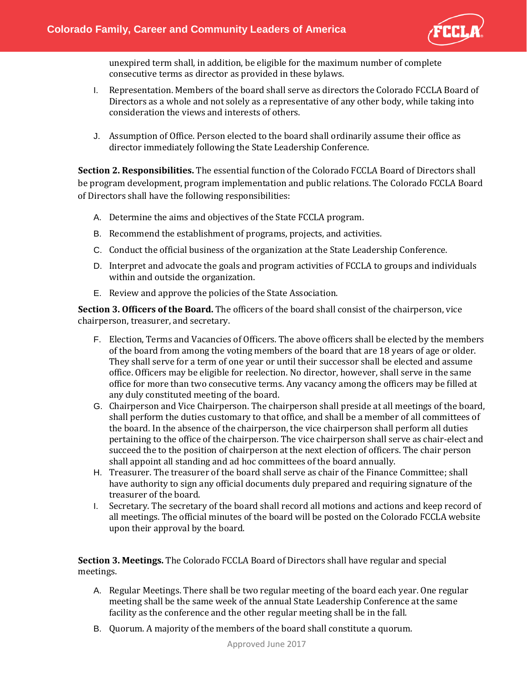

unexpired term shall, in addition, be eligible for the maximum number of complete consecutive terms as director as provided in these bylaws.

- I. Representation. Members of the board shall serve as directors the Colorado FCCLA Board of Directors as a whole and not solely as a representative of any other body, while taking into consideration the views and interests of others.
- J. Assumption of Office. Person elected to the board shall ordinarily assume their office as director immediately following the State Leadership Conference.

**Section 2. Responsibilities.** The essential function of the Colorado FCCLA Board of Directors shall be program development, program implementation and public relations. The Colorado FCCLA Board of Directors shall have the following responsibilities:

- A. Determine the aims and objectives of the State FCCLA program.
- B. Recommend the establishment of programs, projects, and activities.
- C. Conduct the official business of the organization at the State Leadership Conference.
- D. Interpret and advocate the goals and program activities of FCCLA to groups and individuals within and outside the organization.
- E. Review and approve the policies of the State Association.

**Section 3. Officers of the Board.** The officers of the board shall consist of the chairperson, vice chairperson, treasurer, and secretary.

- F. Election, Terms and Vacancies of Officers. The above officers shall be elected by the members of the board from among the voting members of the board that are 18 years of age or older. They shall serve for a term of one year or until their successor shall be elected and assume office. Officers may be eligible for reelection. No director, however, shall serve in the same office for more than two consecutive terms. Any vacancy among the officers may be filled at any duly constituted meeting of the board.
- G. Chairperson and Vice Chairperson. The chairperson shall preside at all meetings of the board, shall perform the duties customary to that office, and shall be a member of all committees of the board. In the absence of the chairperson, the vice chairperson shall perform all duties pertaining to the office of the chairperson. The vice chairperson shall serve as chair-elect and succeed the to the position of chairperson at the next election of officers. The chair person shall appoint all standing and ad hoc committees of the board annually.
- H. Treasurer. The treasurer of the board shall serve as chair of the Finance Committee; shall have authority to sign any official documents duly prepared and requiring signature of the treasurer of the board.
- I. Secretary. The secretary of the board shall record all motions and actions and keep record of all meetings. The official minutes of the board will be posted on the Colorado FCCLA website upon their approval by the board.

**Section 3. Meetings.** The Colorado FCCLA Board of Directors shall have regular and special meetings.

- A. Regular Meetings. There shall be two regular meeting of the board each year. One regular meeting shall be the same week of the annual State Leadership Conference at the same facility as the conference and the other regular meeting shall be in the fall.
- B. Quorum. A majority of the members of the board shall constitute a quorum.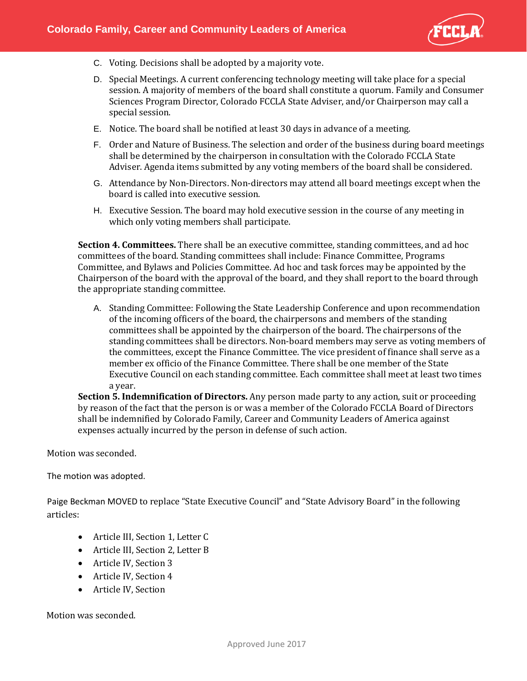

- C. Voting. Decisions shall be adopted by a majority vote.
- D. Special Meetings. A current conferencing technology meeting will take place for a special session. A majority of members of the board shall constitute a quorum. Family and Consumer Sciences Program Director, Colorado FCCLA State Adviser, and/or Chairperson may call a special session.
- E. Notice. The board shall be notified at least 30 days in advance of a meeting.
- F. Order and Nature of Business. The selection and order of the business during board meetings shall be determined by the chairperson in consultation with the Colorado FCCLA State Adviser. Agenda items submitted by any voting members of the board shall be considered.
- G. Attendance by Non-Directors. Non-directors may attend all board meetings except when the board is called into executive session.
- H. Executive Session. The board may hold executive session in the course of any meeting in which only voting members shall participate.

**Section 4. Committees.** There shall be an executive committee, standing committees, and ad hoc committees of the board. Standing committees shall include: Finance Committee, Programs Committee, and Bylaws and Policies Committee. Ad hoc and task forces may be appointed by the Chairperson of the board with the approval of the board, and they shall report to the board through the appropriate standing committee.

A. Standing Committee: Following the State Leadership Conference and upon recommendation of the incoming officers of the board, the chairpersons and members of the standing committees shall be appointed by the chairperson of the board. The chairpersons of the standing committees shall be directors. Non-board members may serve as voting members of the committees, except the Finance Committee. The vice president of finance shall serve as a member ex officio of the Finance Committee. There shall be one member of the State Executive Council on each standing committee. Each committee shall meet at least two times a year.

**Section 5. Indemnification of Directors.** Any person made party to any action, suit or proceeding by reason of the fact that the person is or was a member of the Colorado FCCLA Board of Directors shall be indemnified by Colorado Family, Career and Community Leaders of America against expenses actually incurred by the person in defense of such action.

Motion was seconded.

The motion was adopted.

Paige Beckman MOVED to replace "State Executive Council" and "State Advisory Board" in the following articles:

- Article III, Section 1, Letter C
- Article III, Section 2, Letter B
- Article IV, Section 3
- Article IV, Section 4
- Article IV, Section

Motion was seconded.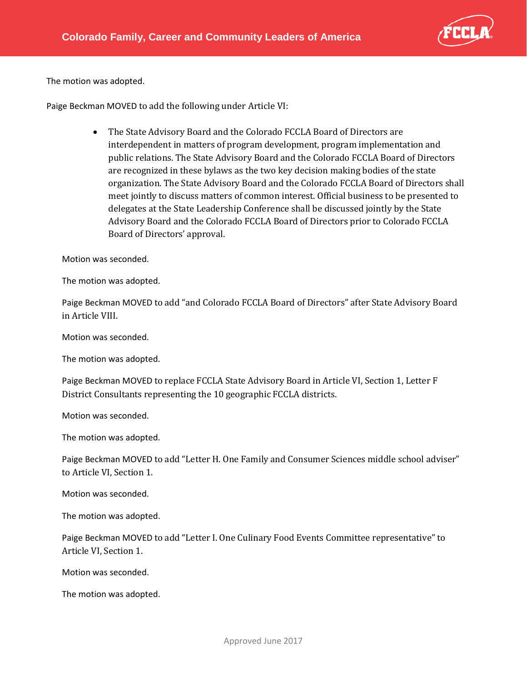

The motion was adopted.

Paige Beckman MOVED to add the following under Article VI:

• The State Advisory Board and the Colorado FCCLA Board of Directors are interdependent in matters of program development, program implementation and public relations. The State Advisory Board and the Colorado FCCLA Board of Directors are recognized in these bylaws as the two key decision making bodies of the state organization. The State Advisory Board and the Colorado FCCLA Board of Directors shall meet jointly to discuss matters of common interest. Official business to be presented to delegates at the State Leadership Conference shall be discussed jointly by the State Advisory Board and the Colorado FCCLA Board of Directors prior to Colorado FCCLA Board of Directors' approval.

Motion was seconded.

The motion was adopted.

Paige Beckman MOVED to add "and Colorado FCCLA Board of Directors" after State Advisory Board in Article VIII.

Motion was seconded.

The motion was adopted.

Paige Beckman MOVED to replace FCCLA State Advisory Board in Article VI, Section 1, Letter F District Consultants representing the 10 geographic FCCLA districts.

Motion was seconded.

The motion was adopted.

Paige Beckman MOVED to add "Letter H. One Family and Consumer Sciences middle school adviser" to Article VI, Section 1.

Motion was seconded.

The motion was adopted.

Paige Beckman MOVED to add "Letter I. One Culinary Food Events Committee representative" to Article VI, Section 1.

Motion was seconded.

The motion was adopted.